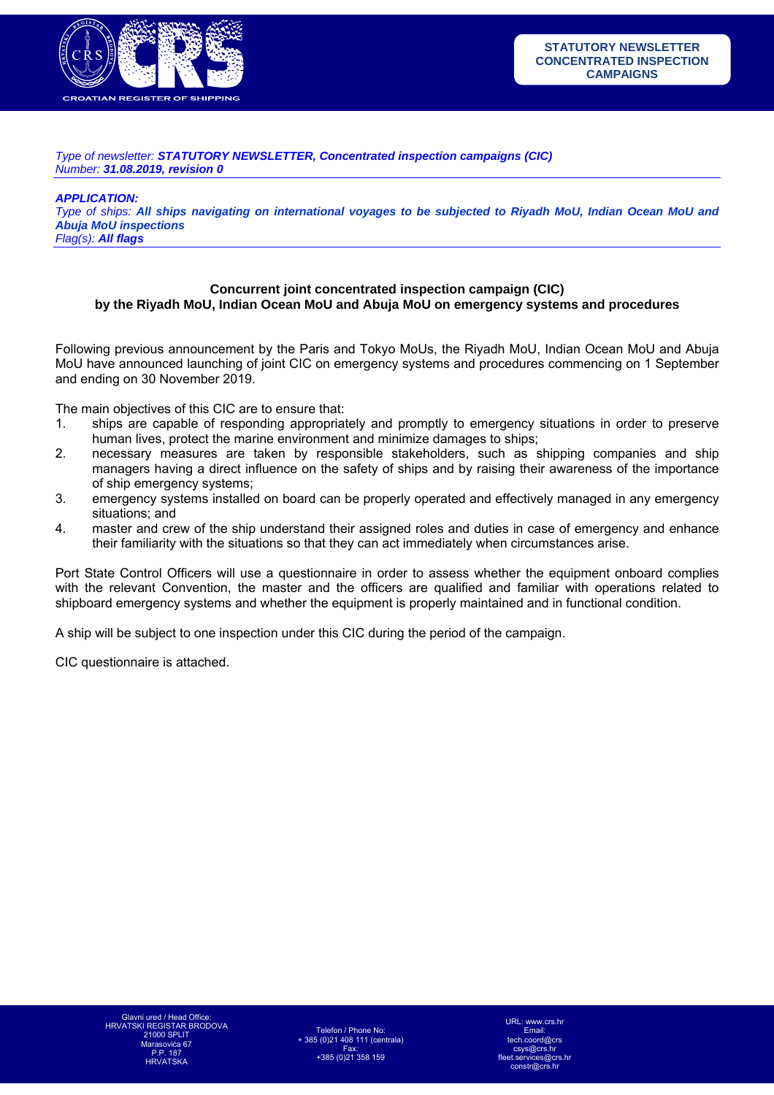

*Type of newsletter: STATUTORY NEWSLETTER, Concentrated inspection campaigns (CIC) Number: 31.08.2019, revision 0* 

*APPLICATION:* 

*Type of ships: All ships navigating on international voyages to be subjected to Riyadh MoU, Indian Ocean MoU and Abuja MoU inspections Flag(s): All flags*

## **Concurrent joint concentrated inspection campaign (CIC) by the Riyadh MoU, Indian Ocean MoU and Abuja MoU on emergency systems and procedures**

Following previous announcement by the Paris and Tokyo MoUs, the Riyadh MoU, Indian Ocean MoU and Abuja MoU have announced launching of joint CIC on emergency systems and procedures commencing on 1 September and ending on 30 November 2019.

The main objectives of this CIC are to ensure that:

- 1. ships are capable of responding appropriately and promptly to emergency situations in order to preserve human lives, protect the marine environment and minimize damages to ships;
- 2. necessary measures are taken by responsible stakeholders, such as shipping companies and ship managers having a direct influence on the safety of ships and by raising their awareness of the importance of ship emergency systems;
- 3. emergency systems installed on board can be properly operated and effectively managed in any emergency situations; and
- 4. master and crew of the ship understand their assigned roles and duties in case of emergency and enhance their familiarity with the situations so that they can act immediately when circumstances arise.

Port State Control Officers will use a questionnaire in order to assess whether the equipment onboard complies with the relevant Convention, the master and the officers are qualified and familiar with operations related to shipboard emergency systems and whether the equipment is properly maintained and in functional condition.

A ship will be subject to one inspection under this CIC during the period of the campaign.

CIC questionnaire is attached.

Telefon / Phone No: + 385 (0)21 408 111 (centrala) Fax: +385 (0)21 358 159

www.crs.hr Email:  $t$ ch. csys@crs.hr fleet.services@crs.hr  $constr@crs$  h